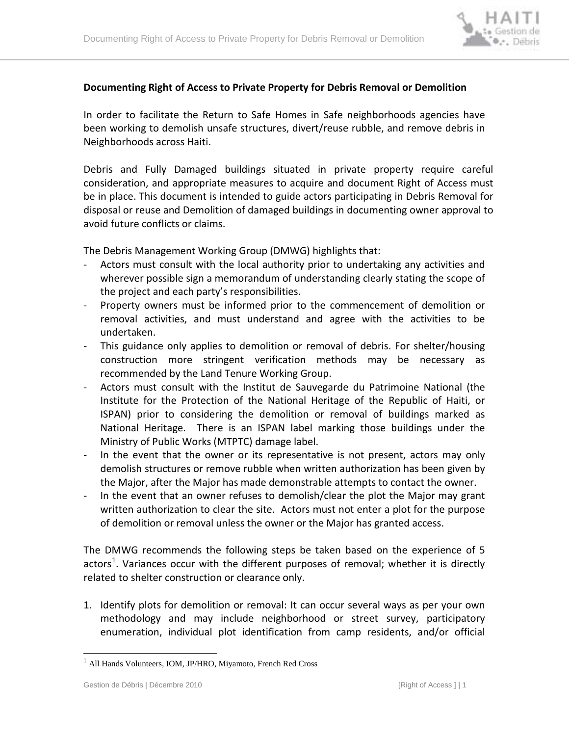

## **Documenting Right of Access to Private Property for Debris Removal or Demolition**

In order to facilitate the Return to Safe Homes in Safe neighborhoods agencies have been working to demolish unsafe structures, divert/reuse rubble, and remove debris in Neighborhoods across Haiti.

Debris and Fully Damaged buildings situated in private property require careful consideration, and appropriate measures to acquire and document Right of Access must be in place. This document is intended to guide actors participating in Debris Removal for disposal or reuse and Demolition of damaged buildings in documenting owner approval to avoid future conflicts or claims.

The Debris Management Working Group (DMWG) highlights that:

- Actors must consult with the local authority prior to undertaking any activities and wherever possible sign a memorandum of understanding clearly stating the scope of the project and each party's responsibilities.
- Property owners must be informed prior to the commencement of demolition or removal activities, and must understand and agree with the activities to be undertaken.
- This guidance only applies to demolition or removal of debris. For shelter/housing construction more stringent verification methods may be necessary as recommended by the Land Tenure Working Group.
- Actors must consult with the Institut de Sauvegarde du Patrimoine National (the Institute for the Protection of the National Heritage of the Republic of Haiti, or ISPAN) prior to considering the demolition or removal of buildings marked as National Heritage. There is an ISPAN label marking those buildings under the Ministry of Public Works (MTPTC) damage label.
- In the event that the owner or its representative is not present, actors may only demolish structures or remove rubble when written authorization has been given by the Major, after the Major has made demonstrable attempts to contact the owner.
- In the event that an owner refuses to demolish/clear the plot the Major may grant written authorization to clear the site. Actors must not enter a plot for the purpose of demolition or removal unless the owner or the Major has granted access.

The DMWG recommends the following steps be taken based on the experience of 5 actors<sup>[1](#page-0-0)</sup>. Variances occur with the different purposes of removal; whether it is directly related to shelter construction or clearance only.

1. Identify plots for demolition or removal: It can occur several ways as per your own methodology and may include neighborhood or street survey, participatory enumeration, individual plot identification from camp residents, and/or official

<span id="page-0-0"></span><sup>&</sup>lt;sup>1</sup> All Hands Volunteers, IOM, JP/HRO, Miyamoto, French Red Cross